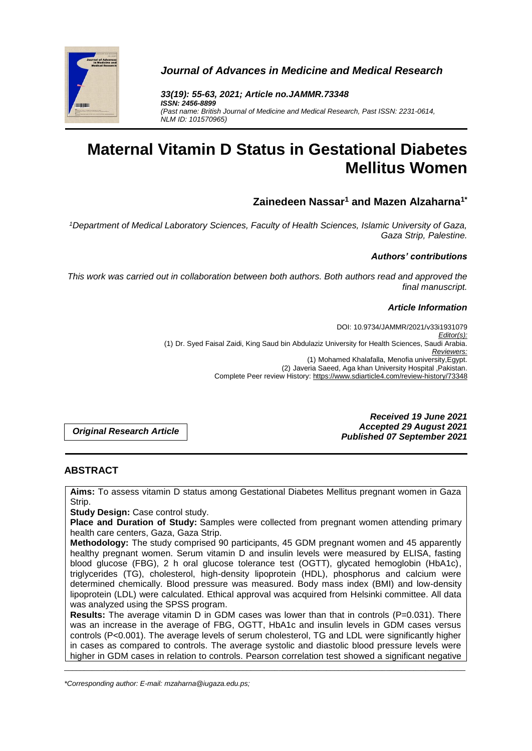

*Journal of Advances in Medicine and Medical Research*

*33(19): 55-63, 2021; Article no.JAMMR.73348 ISSN: 2456-8899 (Past name: British Journal of Medicine and Medical Research, Past ISSN: 2231-0614, NLM ID: 101570965)*

# **Maternal Vitamin D Status in Gestational Diabetes Mellitus Women**

## **Zainedeen Nassar<sup>1</sup> and Mazen Alzaharna1\***

*<sup>1</sup>Department of Medical Laboratory Sciences, Faculty of Health Sciences, Islamic University of Gaza, Gaza Strip, Palestine.*

## *Authors' contributions*

*This work was carried out in collaboration between both authors. Both authors read and approved the final manuscript.*

#### *Article Information*

DOI: 10.9734/JAMMR/2021/v33i1931079 *Editor(s):* (1) Dr. Syed Faisal Zaidi, King Saud bin Abdulaziz University for Health Sciences, Saudi Arabia. *Reviewers:* (1) Mohamed Khalafalla, Menofia university,Egypt. (2) Javeria Saeed, Aga khan University Hospital ,Pakistan. Complete Peer review History: https://www.sdiarticle4.com/review-history/73348

*Original Research Article*

*Received 19 June 2021 Accepted 29 August 2021 Published 07 September 2021*

## **ABSTRACT**

**Aims:** To assess vitamin D status among Gestational Diabetes Mellitus pregnant women in Gaza Strip.

**Study Design:** Case control study.

**Place and Duration of Study:** Samples were collected from pregnant women attending primary health care centers, Gaza, Gaza Strip.

**Methodology:** The study comprised 90 participants, 45 GDM pregnant women and 45 apparently healthy pregnant women. Serum vitamin D and insulin levels were measured by ELISA, fasting blood glucose (FBG), 2 h oral glucose tolerance test (OGTT), glycated hemoglobin (HbA1c), triglycerides (TG), cholesterol, high-density lipoprotein (HDL), phosphorus and calcium were determined chemically. Blood pressure was measured. Body mass index (BMI) and low-density lipoprotein (LDL) were calculated. Ethical approval was acquired from Helsinki committee. All data was analyzed using the SPSS program.

**Results:** The average vitamin D in GDM cases was lower than that in controls (P=0.031). There was an increase in the average of FBG, OGTT, HbA1c and insulin levels in GDM cases versus controls (P<0.001). The average levels of serum cholesterol, TG and LDL were significantly higher in cases as compared to controls. The average systolic and diastolic blood pressure levels were higher in GDM cases in relation to controls. Pearson correlation test showed a significant negative

\_\_\_\_\_\_\_\_\_\_\_\_\_\_\_\_\_\_\_\_\_\_\_\_\_\_\_\_\_\_\_\_\_\_\_\_\_\_\_\_\_\_\_\_\_\_\_\_\_\_\_\_\_\_\_\_\_\_\_\_\_\_\_\_\_\_\_\_\_\_\_\_\_\_\_\_\_\_\_\_\_\_\_\_\_\_\_\_\_\_\_\_\_\_\_\_\_\_\_\_\_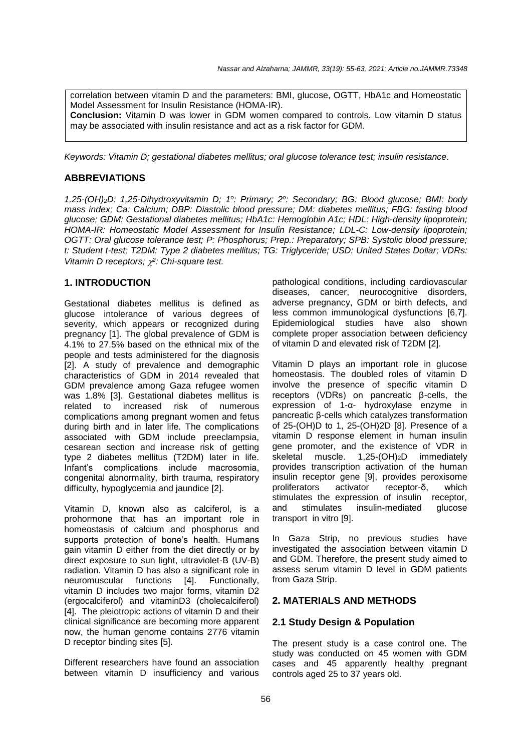correlation between vitamin D and the parameters: BMI, glucose, OGTT, HbA1c and Homeostatic Model Assessment for Insulin Resistance (HOMA-IR). **Conclusion:** Vitamin D was lower in GDM women compared to controls. Low vitamin D status may be associated with insulin resistance and act as a risk factor for GDM.

*Keywords: Vitamin D; gestational diabetes mellitus; oral glucose tolerance test; insulin resistance.*

## **ABBREVIATIONS**

*1,25-(OH)2D: 1,25-Dihydroxyvitamin D; 1 o : Primary; 2<sup>o</sup> : Secondary; BG: Blood glucose; BMI: body mass index; Ca: Calcium; DBP: Diastolic blood pressure; DM: diabetes mellitus; FBG: fasting blood glucose; GDM: Gestational diabetes mellitus; HbA1c: Hemoglobin A1c; HDL: High-density lipoprotein; HOMA-IR: Homeostatic Model Assessment for Insulin Resistance; LDL-C: Low-density lipoprotein; OGTT: Oral glucose tolerance test; P: Phosphorus; Prep.: Preparatory; SPB: Systolic blood pressure; t: Student t-test; T2DM: Type 2 diabetes mellitus; TG: Triglyceride; USD: United States Dollar; VDRs: Vitamin D receptors; 2 : Chi-square test.*

## **1. INTRODUCTION**

Gestational diabetes mellitus is defined as glucose intolerance of various degrees of severity, which appears or recognized during pregnancy [1]. The global prevalence of GDM is 4.1% to 27.5% based on the ethnical mix of the people and tests administered for the diagnosis [2]. A study of prevalence and demographic characteristics of GDM in 2014 revealed that GDM prevalence among Gaza refugee women was 1.8% [3]. Gestational diabetes mellitus is related to increased risk of numerous complications among pregnant women and fetus during birth and in later life. The complications associated with GDM include preeclampsia, cesarean section and increase risk of getting type 2 diabetes mellitus (T2DM) later in life. Infant's complications include macrosomia, congenital abnormality, birth trauma, respiratory difficulty, hypoglycemia and jaundice [2].

Vitamin D, known also as calciferol, is a prohormone that has an important role in homeostasis of calcium and phosphorus and supports protection of bone's health. Humans gain vitamin D either from the diet directly or by direct exposure to sun light, ultraviolet-B (UV-B) radiation. Vitamin D has also a significant role in neuromuscular functions [4]. Functionally, vitamin D includes two major forms, vitamin D2 (ergocalciferol) and vitaminD3 (cholecalciferol) [4]. The pleiotropic actions of vitamin D and their clinical significance are becoming more apparent now, the human genome contains 2776 vitamin D receptor binding sites [5].

Different researchers have found an association between vitamin D insufficiency and various

pathological conditions, including cardiovascular diseases, cancer, neurocognitive disorders, adverse pregnancy, GDM or birth defects, and less common immunological dysfunctions [6,7]. Epidemiological studies have also shown complete proper association between deficiency of vitamin D and elevated risk of T2DM [2].

Vitamin D plays an important role in glucose homeostasis. The doubled roles of vitamin D involve the presence of specific vitamin D receptors (VDRs) on pancreatic β-cells, the expression of 1-α- hydroxylase enzyme in pancreatic β-cells which catalyzes transformation of 25-(OH)D to 1, 25-(OH)2D [8]. Presence of a vitamin D response element in human insulin gene promoter, and the existence of VDR in skeletal muscle. 1,25-(OH)<sub>2</sub>D immediately provides transcription activation of the human insulin receptor gene [9], provides peroxisome proliferators activator receptor-δ, which stimulates the expression of insulin receptor, and stimulates insulin-mediated glucose transport in vitro [9].

In Gaza Strip, no previous studies have investigated the association between vitamin D and GDM. Therefore, the present study aimed to assess serum vitamin D level in GDM patients from Gaza Strip.

## **2. MATERIALS AND METHODS**

## **2.1 Study Design & Population**

The present study is a case control one. The study was conducted on 45 women with GDM cases and 45 apparently healthy pregnant controls aged 25 to 37 years old.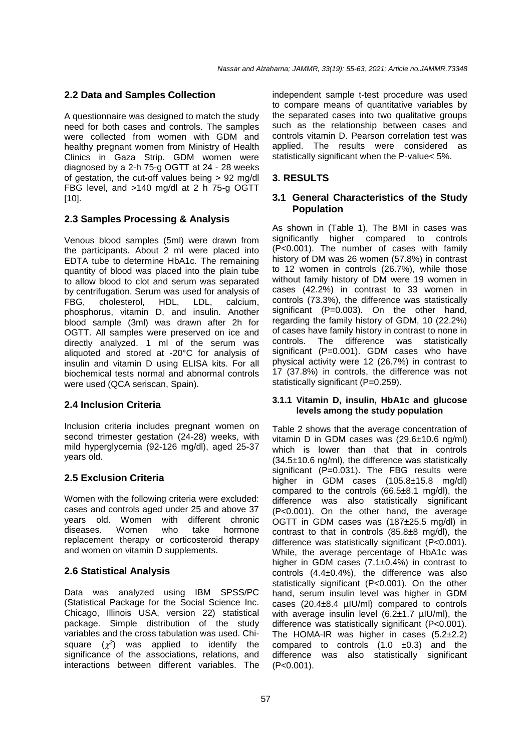## **2.2 Data and Samples Collection**

A questionnaire was designed to match the study need for both cases and controls. The samples were collected from women with GDM and healthy pregnant women from Ministry of Health Clinics in Gaza Strip. GDM women were diagnosed by a 2-h 75-g OGTT at 24 - 28 weeks of gestation, the cut-off values being > 92 mg/dl FBG level, and >140 mg/dl at 2 h 75-g OGTT [10].

#### **2.3 Samples Processing & Analysis**

Venous blood samples (5ml) were drawn from the participants. About 2 ml were placed into EDTA tube to determine HbA1c. The remaining quantity of blood was placed into the plain tube to allow blood to clot and serum was separated by centrifugation. Serum was used for analysis of FBG, cholesterol, HDL, LDL, calcium, phosphorus, vitamin D, and insulin. Another blood sample (3ml) was drawn after 2h for OGTT. All samples were preserved on ice and directly analyzed. 1 ml of the serum was aliquoted and stored at -20°C for analysis of insulin and vitamin D using ELISA kits. For all biochemical tests normal and abnormal controls were used (QCA seriscan, Spain).

## **2.4 Inclusion Criteria**

Inclusion criteria includes pregnant women on second trimester gestation (24-28) weeks, with mild hyperglycemia (92-126 mg/dl), aged 25-37 years old.

## **2.5 Exclusion Criteria**

Women with the following criteria were excluded: cases and controls aged under 25 and above 37 years old. Women with different chronic<br>diseases. Women who take hormone diseases. Women who take hormone replacement therapy or corticosteroid therapy and women on vitamin D supplements.

#### **2.6 Statistical Analysis**

Data was analyzed using IBM SPSS/PC (Statistical Package for the Social Science Inc. Chicago, Illinois USA, version 22) statistical package. Simple distribution of the study variables and the cross tabulation was used. Chisquare  $(x^2)$  was applied to identify the significance of the associations, relations, and interactions between different variables. The

independent sample t-test procedure was used to compare means of quantitative variables by the separated cases into two qualitative groups such as the relationship between cases and controls vitamin D. Pearson correlation test was applied. The results were considered as statistically significant when the P-value< 5%.

## **3. RESULTS**

### **3.1 General Characteristics of the Study Population**

As shown in (Table 1), The BMI in cases was significantly higher compared to controls (P<0.001). The number of cases with family history of DM was 26 women (57.8%) in contrast to 12 women in controls (26.7%), while those without family history of DM were 19 women in cases (42.2%) in contrast to 33 women in controls (73.3%), the difference was statistically significant (P=0.003). On the other hand, regarding the family history of GDM, 10 (22.2%) of cases have family history in contrast to none in<br>controls. The difference was statistically controls. The difference was statistically significant (P=0.001). GDM cases who have physical activity were 12 (26.7%) in contrast to 17 (37.8%) in controls, the difference was not statistically significant (P=0.259).

#### **3.1.1 Vitamin D, insulin, HbA1c and glucose levels among the study population**

Table 2 shows that the average concentration of vitamin D in GDM cases was (29.6±10.6 ng/ml) which is lower than that that in controls (34.5±10.6 ng/ml), the difference was statistically significant (P=0.031). The FBG results were higher in GDM cases (105.8±15.8 mg/dl) compared to the controls  $(66.5\pm8.1 \text{ mg/dl})$ , the difference was also statistically significant (P<0.001). On the other hand, the average OGTT in GDM cases was (187±25.5 mg/dl) in contrast to that in controls (85.8±8 mg/dl), the difference was statistically significant (P<0.001). While, the average percentage of HbA1c was higher in GDM cases (7.1±0.4%) in contrast to controls (4.4±0.4%), the difference was also statistically significant (P<0.001). On the other hand, serum insulin level was higher in GDM cases (20.4±8.4 µIU/ml) compared to controls with average insulin level  $(6.2±1.7 \mu U/ml)$ , the difference was statistically significant (P<0.001). The HOMA-IR was higher in cases (5.2±2.2) compared to controls  $(1.0 \pm 0.3)$  and the difference was also statistically significant (P<0.001).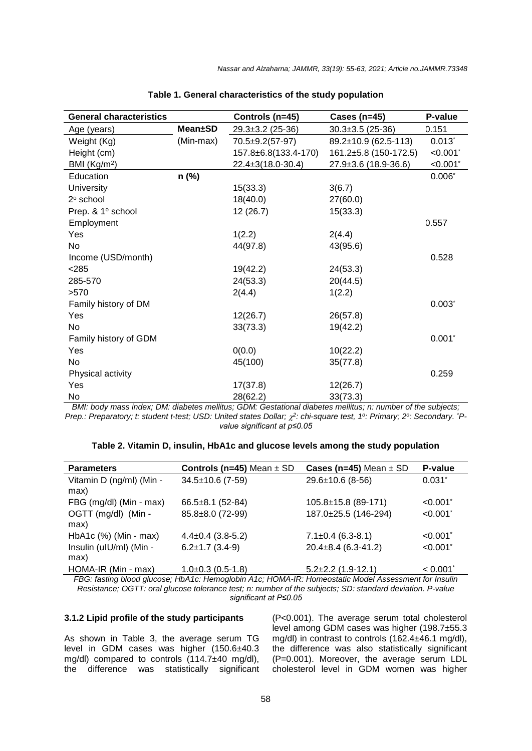| <b>General characteristics</b> |                | Controls (n=45)        | Cases ( $n=45$ )       | P-value         |
|--------------------------------|----------------|------------------------|------------------------|-----------------|
| Age (years)                    | <b>Mean±SD</b> | $29.3 \pm 3.2$ (25-36) | $30.3 \pm 3.5$ (25-36) | 0.151           |
| Weight (Kg)                    | (Min-max)      | 70.5±9.2(57-97)        | 89.2±10.9 (62.5-113)   | $0.013$ *       |
| Height (cm)                    |                | 157.8±6.8(133.4-170)   | 161.2±5.8 (150-172.5)  | < 0.001         |
| BMI $(Kg/m2)$                  |                | 22.4±3(18.0-30.4)      | 27.9±3.6 (18.9-36.6)   | $< 0.001$ *     |
| Education                      | n (%)          |                        |                        | $0.006*$        |
| University                     |                | 15(33.3)               | 3(6.7)                 |                 |
| 2º school                      |                | 18(40.0)               | 27(60.0)               |                 |
| Prep. & 1º school              |                | 12 (26.7)              | 15(33.3)               |                 |
| Employment                     |                |                        |                        | 0.557           |
| Yes                            |                | 1(2.2)                 | 2(4.4)                 |                 |
| No                             |                | 44(97.8)               | 43(95.6)               |                 |
| Income (USD/month)             |                |                        |                        | 0.528           |
| < 285                          |                | 19(42.2)               | 24(53.3)               |                 |
| 285-570                        |                | 24(53.3)               | 20(44.5)               |                 |
| >570                           |                | 2(4.4)                 | 1(2.2)                 |                 |
| Family history of DM           |                |                        |                        | $0.003*$        |
| Yes                            |                | 12(26.7)               | 26(57.8)               |                 |
| No                             |                | 33(73.3)               | 19(42.2)               |                 |
| Family history of GDM          |                |                        |                        | $0.001*$        |
| Yes                            |                | 0(0.0)                 | 10(22.2)               |                 |
| <b>No</b>                      |                | 45(100)                | 35(77.8)               |                 |
| Physical activity              |                |                        |                        | 0.259           |
| Yes                            |                | 17(37.8)               | 12(26.7)               |                 |
| No                             |                | 28(62.2)               | 33(73.3)               | $\cdot$ $\cdot$ |

|  | Table 1. General characteristics of the study population |  |  |  |
|--|----------------------------------------------------------|--|--|--|
|--|----------------------------------------------------------|--|--|--|

*BMI: body mass index; DM: diabetes mellitus; GDM: Gestational diabetes mellitus; n: number of the subjects; Prep.: Preparatory; t: student t-test; USD: United states Dollar;*  $\chi^2$ *: chi-square test, 1<sup>o</sup>: Primary; 2<sup>o</sup>: Secondary. <sup>\*</sup>Pvalue significant at p≤0.05*

| Table 2. Vitamin D, insulin, HbA1c and glucose levels among the study population |  |  |
|----------------------------------------------------------------------------------|--|--|
|----------------------------------------------------------------------------------|--|--|

| <b>Parameters</b>                | Controls ( $n=45$ ) Mean $\pm$ SD | Cases (n=45) Mean $\pm$ SD | P-value                |
|----------------------------------|-----------------------------------|----------------------------|------------------------|
| Vitamin D (ng/ml) (Min -<br>max) | $34.5 \pm 10.6$ (7-59)            | $29.6 \pm 10.6$ (8-56)     | $0.031$ <sup>*</sup>   |
| FBG (mg/dl) (Min - max)          | $66.5 \pm 8.1$ (52-84)            | 105.8±15.8 (89-171)        | $< 0.001$ <sup>*</sup> |
| OGTT (mg/dl) (Min -<br>max)      | 85.8±8.0 (72-99)                  | 187.0±25.5 (146-294)       | < 0.001                |
| HbA1c (%) (Min - max)            | $4.4\pm0.4$ (3.8-5.2)             | $7.1 \pm 0.4$ (6.3-8.1)    | < 0.001                |
| Insulin (uIU/ml) (Min -<br>max)  | $6.2 \pm 1.7$ (3.4-9)             | $20.4\pm8.4$ (6.3-41.2)    | < 0.001                |
| HOMA-IR (Min - max)              | $1.0+0.3(0.5-1.8)$                | $5.2\pm2.2$ (1.9-12.1)     | < 0.001                |

*FBG: fasting blood glucose; HbA1c: Hemoglobin A1c; HOMA-IR: Homeostatic Model Assessment for Insulin Resistance; OGTT: oral glucose tolerance test; n: number of the subjects; SD: standard deviation. P-value significant at P≤0.05*

#### **3.1.2 Lipid profile of the study participants**

As shown in Table 3, the average serum TG level in GDM cases was higher (150.6±40.3 mg/dl) compared to controls (114.7±40 mg/dl), the difference was statistically significant

(P<0.001). The average serum total cholesterol level among GDM cases was higher (198.7±55.3 mg/dl) in contrast to controls (162.4±46.1 mg/dl), the difference was also statistically significant (P=0.001). Moreover, the average serum LDL cholesterol level in GDM women was higher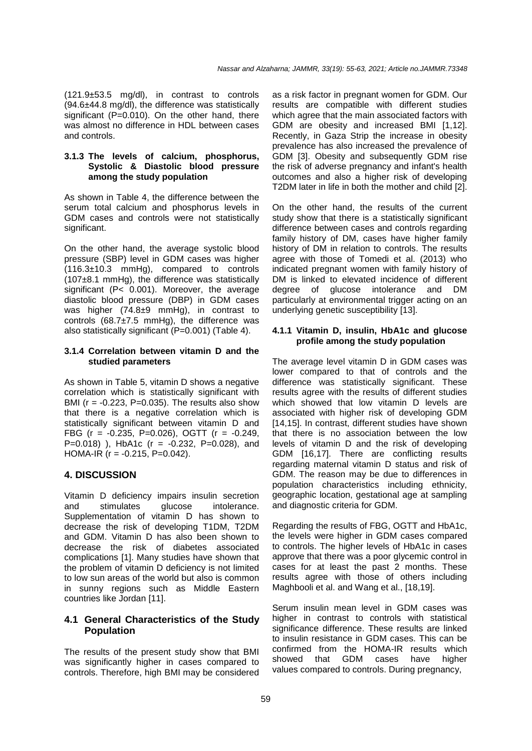(121.9±53.5 mg/dl), in contrast to controls (94.6±44.8 mg/dl), the difference was statistically significant  $(P=0.010)$ . On the other hand, there was almost no difference in HDL between cases and controls.

### **3.1.3 The levels of calcium, phosphorus, Systolic & Diastolic blood pressure among the study population**

As shown in Table 4, the difference between the serum total calcium and phosphorus levels in GDM cases and controls were not statistically significant.

On the other hand, the average systolic blood pressure (SBP) level in GDM cases was higher (116.3±10.3 mmHg), compared to controls (107±8.1 mmHg), the difference was statistically significant (P< 0.001). Moreover, the average diastolic blood pressure (DBP) in GDM cases was higher (74.8±9 mmHg), in contrast to controls (68.7±7.5 mmHg), the difference was also statistically significant (P=0.001) (Table 4).

#### **3.1.4 Correlation between vitamin D and the studied parameters**

As shown in Table 5, vitamin D shows a negative correlation which is statistically significant with BMI ( $r = -0.223$ , P=0.035). The results also show that there is a negative correlation which is statistically significant between vitamin D and FBG ( $r = -0.235$ , P=0.026), OGTT ( $r = -0.249$ , P=0.018) ), HbA1c ( $r = -0.232$ , P=0.028), and HOMA-IR  $(r = -0.215, P = 0.042)$ .

## **4. DISCUSSION**

Vitamin D deficiency impairs insulin secretion and stimulates glucose intolerance. Supplementation of vitamin D has shown to decrease the risk of developing T1DM, T2DM and GDM. Vitamin D has also been shown to decrease the risk of diabetes associated complications [1]. Many studies have shown that the problem of vitamin D deficiency is not limited to low sun areas of the world but also is common in sunny regions such as Middle Eastern countries like Jordan [11].

## **4.1 General Characteristics of the Study Population**

The results of the present study show that BMI was significantly higher in cases compared to controls. Therefore, high BMI may be considered as a risk factor in pregnant women for GDM. Our results are compatible with different studies which agree that the main associated factors with GDM are obesity and increased BMI [1,12]. Recently, in Gaza Strip the increase in obesity prevalence has also increased the prevalence of GDM [3]. Obesity and subsequently GDM rise the risk of adverse pregnancy and infant's health outcomes and also a higher risk of developing T2DM later in life in both the mother and child [2].

On the other hand, the results of the current study show that there is a statistically significant difference between cases and controls regarding family history of DM, cases have higher family history of DM in relation to controls. The results agree with those of Tomedi et al. (2013) who indicated pregnant women with family history of DM is linked to elevated incidence of different degree of glucose intolerance and DM particularly at environmental trigger acting on an underlying genetic susceptibility [13].

#### **4.1.1 Vitamin D, insulin, HbA1c and glucose profile among the study population**

The average level vitamin D in GDM cases was lower compared to that of controls and the difference was statistically significant. These results agree with the results of different studies which showed that low vitamin D levels are associated with higher risk of developing GDM [14,15]. In contrast, different studies have shown that there is no association between the low levels of vitamin D and the risk of developing GDM [16,17]. There are conflicting results regarding maternal vitamin D status and risk of GDM. The reason may be due to differences in population characteristics including ethnicity, geographic location, gestational age at sampling and diagnostic criteria for GDM.

Regarding the results of FBG, OGTT and HbA1c, the levels were higher in GDM cases compared to controls. The higher levels of HbA1c in cases approve that there was a poor glycemic control in cases for at least the past 2 months. These results agree with those of others including Maghbooli et al. and Wang et al., [18,19].

Serum insulin mean level in GDM cases was higher in contrast to controls with statistical significance difference. These results are linked to insulin resistance in GDM cases. This can be confirmed from the HOMA-IR results which showed that GDM cases have higher values compared to controls. During pregnancy,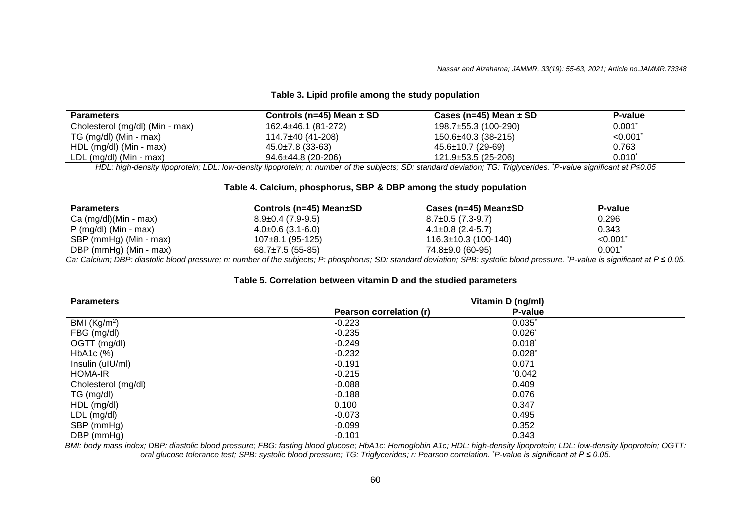#### **Table 3. Lipid profile among the study population**

| <b>Parameters</b>               | Controls (n=45) Mean $\pm$ SD | Cases (n=45) Mean $\pm$ SD | <b>P-value</b> |
|---------------------------------|-------------------------------|----------------------------|----------------|
| Cholesterol (mg/dl) (Min - max) | 162.4±46.1 (81-272)           | 198.7±55.3 (100-290)       | $0.001^*$      |
| TG (mg/dl) (Min - max)          | 114.7±40 (41-208)             | $150.6 \pm 40.3$ (38-215)  | < 0.001        |
| HDL (mg/dl) (Min - max)         | $45.0\pm7.8$ (33-63)          | $45.6 \pm 10.7$ (29-69)    | 0.763          |
| $LDL (mg/dl)$ (Min - max)       | $94.6 \pm 44.8$ (20-206)      | 121.9±53.5 (25-206)        | $0.010^{*}$    |

*HDL: high-density lipoprotein; LDL: low-density lipoprotein; n: number of the subjects; SD: standard deviation; TG: Triglycerides. \*P-value significant at P≤0.05*

#### **Table 4. Calcium, phosphorus, SBP & DBP among the study population**

| <b>Parameters</b>       | Controls (n=45) Mean±SD | Cases (n=45) Mean±SD   | P-value   |  |
|-------------------------|-------------------------|------------------------|-----------|--|
| Ca (mg/dl)(Min - max)   | $8.9 \pm 0.4$ (7.9-9.5) | $8.7\pm0.5(7.3-9.7)$   | 0.296     |  |
| $P$ (mg/dl) (Min - max) | $4.0\pm0.6$ (3.1-6.0)   | $4.1\pm0.8$ (2.4-5.7)  | 0.343     |  |
| SBP (mmHg) (Min - max)  | 107±8.1 (95-125)        | 116.3±10.3 (100-140)   | < 0.001   |  |
| DBP (mmHg) (Min - max)  | $68.7\pm7.5(55-85)$     | $74.8 \pm 9.0$ (60-95) | $0.001^*$ |  |

Ca: Calcium; DBP: diastolic blood pressure; n: number of the subjects; P: phosphorus; SD: standard deviation; SPB: systolic blood pressure. \*P-value is significant at P ≤ 0.05.

#### **Table 5. Correlation between vitamin D and the studied parameters**

| <b>Parameters</b>        | Vitamin D (ng/ml)       |                |  |
|--------------------------|-------------------------|----------------|--|
|                          | Pearson correlation (r) | <b>P-value</b> |  |
| BMI (Kg/m <sup>2</sup> ) | $-0.223$                | $0.035$ *      |  |
| FBG (mg/dl)              | $-0.235$                | $0.026*$       |  |
| OGTT (mg/dl)             | $-0.249$                | $0.018^*$      |  |
| $HbA1c$ $(\%)$           | $-0.232$                | $0.028^{*}$    |  |
| Insulin (uIU/ml)         | $-0.191$                | 0.071          |  |
| <b>HOMA-IR</b>           | $-0.215$                | $^{\ast}0.042$ |  |
| Cholesterol (mg/dl)      | $-0.088$                | 0.409          |  |
| TG (mg/dl)               | -0.188                  | 0.076          |  |
| HDL (mg/dl)              | 0.100                   | 0.347          |  |
| LDL (mg/dl)              | -0.073                  | 0.495          |  |
| SBP (mmHg)               | $-0.099$                | 0.352          |  |
| DBP (mmHg)               | $-0.101$                | 0.343          |  |

*BMI: body mass index; DBP: diastolic blood pressure; FBG: fasting blood glucose; HbA1c: Hemoglobin A1c; HDL: high-density lipoprotein; LDL: low-density lipoprotein; OGTT: oral glucose tolerance test; SPB: systolic blood pressure; TG: Triglycerides; r: Pearson correlation. \*P-value is significant at P ≤ 0.05.*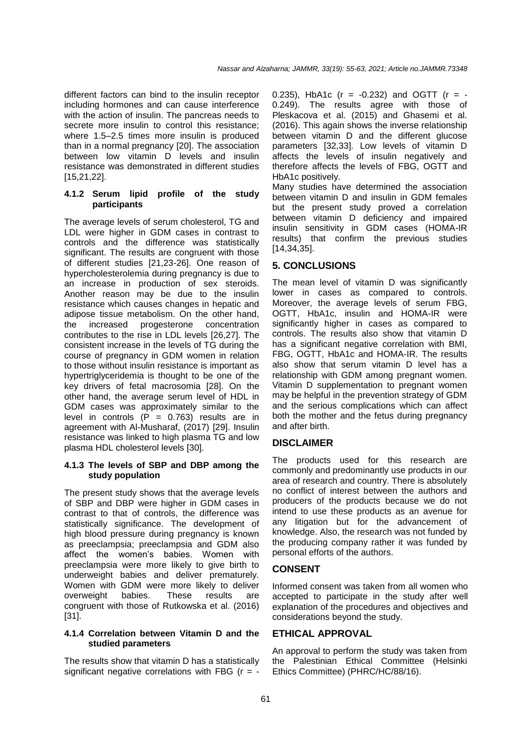different factors can bind to the insulin receptor including hormones and can cause interference with the action of insulin. The pancreas needs to secrete more insulin to control this resistance; where 1.5–2.5 times more insulin is produced than in a normal pregnancy [20]. The association between low vitamin D levels and insulin resistance was demonstrated in different studies [15,21,22].

#### **4.1.2 Serum lipid profile of the study participants**

The average levels of serum cholesterol, TG and LDL were higher in GDM cases in contrast to controls and the difference was statistically significant. The results are congruent with those of different studies [21,23-26]. One reason of hypercholesterolemia during pregnancy is due to an increase in production of sex steroids. Another reason may be due to the insulin resistance which causes changes in hepatic and adipose tissue metabolism. On the other hand, the increased progesterone concentration contributes to the rise in LDL levels [26,27]. The consistent increase in the levels of TG during the course of pregnancy in GDM women in relation to those without insulin resistance is important as hypertriglyceridemia is thought to be one of the key drivers of fetal macrosomia [28]. On the other hand, the average serum level of HDL in GDM cases was approximately similar to the level in controls  $(P = 0.763)$  results are in agreement with Al-Musharaf, (2017) [29]. Insulin resistance was linked to high plasma TG and low plasma HDL cholesterol levels [30].

#### **4.1.3 The levels of SBP and DBP among the study population**

The present study shows that the average levels of SBP and DBP were higher in GDM cases in contrast to that of controls, the difference was statistically significance. The development of high blood pressure during pregnancy is known as preeclampsia; preeclampsia and GDM also affect the women's babies. Women with preeclampsia were more likely to give birth to underweight babies and deliver prematurely. Women with GDM were more likely to deliver overweight babies. These results are congruent with those of Rutkowska et al. (2016) [31].

#### **4.1.4 Correlation between Vitamin D and the studied parameters**

The results show that vitamin D has a statistically significant negative correlations with FBG ( $r = -$  0.235). HbA1c ( $r = -0.232$ ) and OGTT ( $r = -0.232$ ) 0.249). The results agree with those of Pleskacova et al. (2015) and Ghasemi et al. (2016). This again shows the inverse relationship between vitamin D and the different glucose parameters [32,33]. Low levels of vitamin D affects the levels of insulin negatively and therefore affects the levels of FBG, OGTT and HbA1c positively.

Many studies have determined the association between vitamin D and insulin in GDM females but the present study proved a correlation between vitamin D deficiency and impaired insulin sensitivity in GDM cases (HOMA-IR results) that confirm the previous studies [14,34,35].

## **5. CONCLUSIONS**

The mean level of vitamin D was significantly lower in cases as compared to controls. Moreover, the average levels of serum FBG, OGTT, HbA1c, insulin and HOMA-IR were significantly higher in cases as compared to controls. The results also show that vitamin D has a significant negative correlation with BMI, FBG, OGTT, HbA1c and HOMA-IR. The results also show that serum vitamin D level has a relationship with GDM among pregnant women. Vitamin D supplementation to pregnant women may be helpful in the prevention strategy of GDM and the serious complications which can affect both the mother and the fetus during pregnancy and after birth.

## **DISCLAIMER**

The products used for this research are commonly and predominantly use products in our area of research and country. There is absolutely no conflict of interest between the authors and producers of the products because we do not intend to use these products as an avenue for any litigation but for the advancement of knowledge. Also, the research was not funded by the producing company rather it was funded by personal efforts of the authors.

## **CONSENT**

Informed consent was taken from all women who accepted to participate in the study after well explanation of the procedures and objectives and considerations beyond the study.

#### **ETHICAL APPROVAL**

An approval to perform the study was taken from the Palestinian Ethical Committee (Helsinki Ethics Committee) (PHRC/HC/88/16).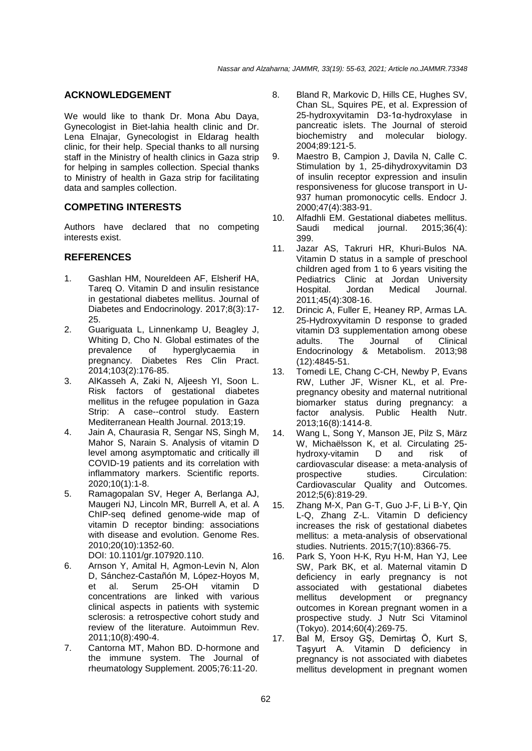## **ACKNOWLEDGEMENT**

We would like to thank Dr. Mona Abu Daya, Gynecologist in Biet-lahia health clinic and Dr. Lena Elnajar, Gynecologist in Eldarag health clinic, for their help. Special thanks to all nursing staff in the Ministry of health clinics in Gaza strip for helping in samples collection. Special thanks to Ministry of health in Gaza strip for facilitating data and samples collection.

## **COMPETING INTERESTS**

Authors have declared that no competing interests exist.

## **REFERENCES**

- 1. Gashlan HM, Noureldeen AF, Elsherif HA, Tareq O. Vitamin D and insulin resistance in gestational diabetes mellitus. Journal of Diabetes and Endocrinology. 2017;8(3):17- 25.
- 2. Guariguata L, Linnenkamp U, Beagley J, Whiting D, Cho N. Global estimates of the prevalence of hyperglycaemia in pregnancy. Diabetes Res Clin Pract. 2014;103(2):176-85.
- 3. AlKasseh A, Zaki N, Aljeesh YI, Soon L. Risk factors of gestational diabetes mellitus in the refugee population in Gaza Strip: A case--control study. Eastern Mediterranean Health Journal. 2013;19.
- 4. Jain A, Chaurasia R, Sengar NS, Singh M, Mahor S, Narain S. Analysis of vitamin D level among asymptomatic and critically ill COVID-19 patients and its correlation with inflammatory markers. Scientific reports. 2020;10(1):1-8.
- 5. Ramagopalan SV, Heger A, Berlanga AJ, Maugeri NJ, Lincoln MR, Burrell A, et al. A ChIP-seq defined genome-wide map of vitamin D receptor binding: associations with disease and evolution. Genome Res. 2010;20(10):1352-60. DOI: 10.1101/gr.107920.110.
- 6. Arnson Y, Amital H, Agmon-Levin N, Alon D, Sánchez-Castañón M, López-Hoyos M, et al. Serum 25-OH vitamin D concentrations are linked with various clinical aspects in patients with systemic sclerosis: a retrospective cohort study and review of the literature. Autoimmun Rev. 2011;10(8):490-4.
- 7. Cantorna MT, Mahon BD. D-hormone and the immune system. The Journal of rheumatology Supplement. 2005;76:11-20.
- 8. Bland R, Markovic D, Hills CE, Hughes SV, Chan SL, Squires PE, et al. Expression of 25-hydroxyvitamin D3-1α-hydroxylase in pancreatic islets. The Journal of steroid biochemistry and molecular biology. 2004;89:121-5.
- 9. Maestro B, Campion J, Davila N, Calle C. Stimulation by 1, 25-dihydroxyvitamin D3 of insulin receptor expression and insulin responsiveness for glucose transport in U-937 human promonocytic cells. Endocr J. 2000;47(4):383-91.
- 10. Alfadhli EM. Gestational diabetes mellitus. Saudi medical journal. 2015;36(4): 399.
- 11. Jazar AS, Takruri HR, Khuri-Bulos NA. Vitamin D status in a sample of preschool children aged from 1 to 6 years visiting the Pediatrics Clinic at Jordan University Hospital. Jordan Medical Journal. 2011;45(4):308-16.
- 12. Drincic A, Fuller E, Heaney RP, Armas LA. 25-Hydroxyvitamin D response to graded vitamin D3 supplementation among obese<br>adults. The Journal of Clinical Journal Endocrinology & Metabolism. 2013;98 (12):4845-51.
- 13. Tomedi LE, Chang C-CH, Newby P, Evans RW, Luther JF, Wisner KL, et al. Prepregnancy obesity and maternal nutritional biomarker status during pregnancy: a factor analysis. Public Health Nutr. 2013;16(8):1414-8.
- 14. Wang L, Song Y, Manson JE, Pilz S, März W, Michaëlsson K, et al. Circulating 25 hydroxy-vitamin D and risk of cardiovascular disease: a meta-analysis of prospective studies. Circulation: Cardiovascular Quality and Outcomes. 2012;5(6):819-29.
- 15. Zhang M-X, Pan G-T, Guo J-F, Li B-Y, Qin L-Q, Zhang Z-L. Vitamin D deficiency increases the risk of gestational diabetes mellitus: a meta-analysis of observational studies. Nutrients. 2015;7(10):8366-75.
- 16. Park S, Yoon H-K, Ryu H-M, Han YJ, Lee SW, Park BK, et al. Maternal vitamin D deficiency in early pregnancy is not associated with gestational diabetes mellitus development or pregnancy outcomes in Korean pregnant women in a prospective study. J Nutr Sci Vitaminol (Tokyo). 2014;60(4):269-75.
- 17. Bal M, Ersoy GŞ, Demirtaş Ö, Kurt S, Taşyurt A. Vitamin D deficiency in pregnancy is not associated with diabetes mellitus development in pregnant women